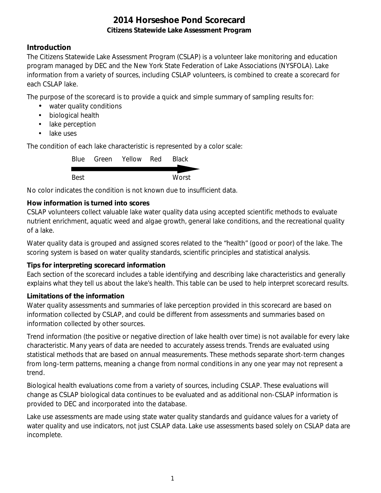### **Introduction**

The Citizens Statewide Lake Assessment Program (CSLAP) is a volunteer lake monitoring and education program managed by DEC and the New York State Federation of Lake Associations (NYSFOLA). Lake information from a variety of sources, including CSLAP volunteers, is combined to create a scorecard for each CSLAP lake.

The purpose of the scorecard is to provide a quick and simple summary of sampling results for:

- water quality conditions
- $\mathcal{L}^{\text{max}}$ biological health
- . lake perception
- L. lake uses

The condition of each lake characteristic is represented by a color scale:

|      | Blue Green Yellow Red | <b>Black</b> |
|------|-----------------------|--------------|
|      |                       |              |
| Best |                       | Worst        |

No color indicates the condition is not known due to insufficient data.

### **How information is turned into scores**

CSLAP volunteers collect valuable lake water quality data using accepted scientific methods to evaluate nutrient enrichment, aquatic weed and algae growth, general lake conditions, and the recreational quality of a lake.

Water quality data is grouped and assigned scores related to the "health" (good or poor) of the lake. The scoring system is based on water quality standards, scientific principles and statistical analysis.

#### **Tips for interpreting scorecard information**

Each section of the scorecard includes a table identifying and describing lake characteristics and generally explains what they tell us about the lake's health. This table can be used to help interpret scorecard results.

#### **Limitations of the information**

Water quality assessments and summaries of lake perception provided in this scorecard are based on information collected by CSLAP, and could be different from assessments and summaries based on information collected by other sources.

Trend information (the positive or negative direction of lake health over time) is not available for every lake characteristic. Many years of data are needed to accurately assess trends. Trends are evaluated using statistical methods that are based on annual measurements. These methods separate short-term changes from long-term patterns, meaning a change from normal conditions in any one year may not represent a trend.

Biological health evaluations come from a variety of sources, including CSLAP. These evaluations will change as CSLAP biological data continues to be evaluated and as additional non-CSLAP information is provided to DEC and incorporated into the database.

Lake use assessments are made using state water quality standards and guidance values for a variety of water quality and use indicators, not just CSLAP data. Lake use assessments based solely on CSLAP data are incomplete.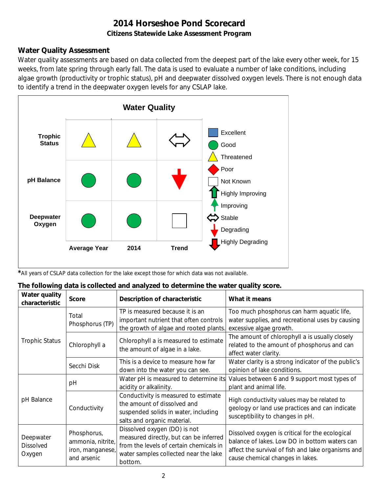### **Water Quality Assessment**

Water quality assessments are based on data collected from the deepest part of the lake every other week, for 15 weeks, from late spring through early fall. The data is used to evaluate a number of lake conditions, including algae growth (productivity or trophic status), pH and deepwater dissolved oxygen levels. There is not enough data to identify a trend in the deepwater oxygen levels for any CSLAP lake.



*\**All years of CSLAP data collection for the lake except those for which data was not available.

| The following data is collected and analyzed to determine the water quality score. |  |  |
|------------------------------------------------------------------------------------|--|--|
|                                                                                    |  |  |

| Water quality<br>characteristic         | <b>Score</b>                                                        | Description of characteristic                                                                                                                                         | What it means                                                                                                                                                                              |
|-----------------------------------------|---------------------------------------------------------------------|-----------------------------------------------------------------------------------------------------------------------------------------------------------------------|--------------------------------------------------------------------------------------------------------------------------------------------------------------------------------------------|
|                                         | Total<br>Phosphorus (TP)                                            | TP is measured because it is an<br>important nutrient that often controls<br>the growth of algae and rooted plants.                                                   | Too much phosphorus can harm aquatic life,<br>water supplies, and recreational uses by causing<br>excessive algae growth.                                                                  |
| <b>Trophic Status</b>                   | Chlorophyll a                                                       | Chlorophyll a is measured to estimate<br>the amount of algae in a lake.                                                                                               | The amount of chlorophyll a is usually closely<br>related to the amount of phosphorus and can<br>affect water clarity.                                                                     |
|                                         | Secchi Disk                                                         | This is a device to measure how far<br>down into the water you can see.                                                                                               | Water clarity is a strong indicator of the public's<br>opinion of lake conditions.                                                                                                         |
|                                         | рH                                                                  | Water pH is measured to determine its<br>acidity or alkalinity.                                                                                                       | Values between 6 and 9 support most types of<br>plant and animal life.                                                                                                                     |
| pH Balance                              | Conductivity                                                        | Conductivity is measured to estimate<br>the amount of dissolved and<br>suspended solids in water, including<br>salts and organic material.                            | High conductivity values may be related to<br>geology or land use practices and can indicate<br>susceptibility to changes in pH.                                                           |
| Deepwater<br><b>Dissolved</b><br>Oxygen | Phosphorus,<br>ammonia, nitrite,<br>iron, manganese,<br>and arsenic | Dissolved oxygen (DO) is not<br>measured directly, but can be inferred<br>from the levels of certain chemicals in<br>water samples collected near the lake<br>bottom. | Dissolved oxygen is critical for the ecological<br>balance of lakes. Low DO in bottom waters can<br>affect the survival of fish and lake organisms and<br>cause chemical changes in lakes. |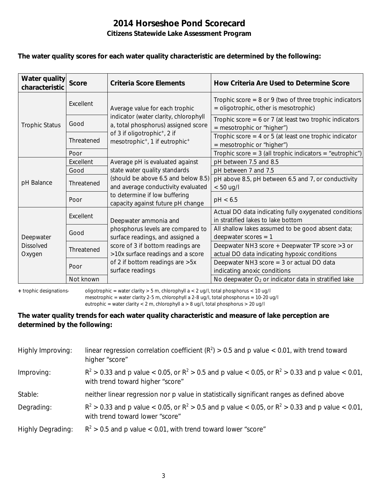#### **The water quality scores for each water quality characteristic are determined by the following:**

| Water quality<br>characteristic         | <b>Score</b> | Criteria Score Elements                                                                            | How Criteria Are Used to Determine Score                                                           |
|-----------------------------------------|--------------|----------------------------------------------------------------------------------------------------|----------------------------------------------------------------------------------------------------|
|                                         | Excellent    | Average value for each trophic                                                                     | Trophic score $= 8$ or 9 (two of three trophic indicators<br>= oligotrophic, other is mesotrophic) |
| <b>Trophic Status</b>                   | Good         | indicator (water clarity, chlorophyll<br>a, total phosphorus) assigned score                       | Trophic score = $6$ or 7 (at least two trophic indicators<br>$=$ mesotrophic or "higher")          |
|                                         | Threatened   | of 3 if oligotrophic <sup>+</sup> , 2 if<br>mesotrophic <sup>+</sup> , 1 if eutrophic <sup>+</sup> | Trophic score $=$ 4 or 5 (at least one trophic indicator<br>$=$ mesotrophic or "higher")           |
|                                         | Poor         |                                                                                                    | Trophic score = $3$ (all trophic indicators = "eutrophic")                                         |
|                                         | Excellent    | Average pH is evaluated against                                                                    | pH between 7.5 and 8.5                                                                             |
|                                         | Good         | state water quality standards                                                                      | pH between 7 and 7.5                                                                               |
| pH Balance                              | Threatened   | (should be above 6.5 and below 8.5)<br>and average conductivity evaluated                          | pH above 8.5, pH between 6.5 and 7, or conductivity                                                |
|                                         | Poor         | to determine if low buffering<br>capacity against future pH change                                 | $< 50$ ug/l<br>pH < 6.5                                                                            |
|                                         | Excellent    | Deepwater ammonia and<br>phosphorus levels are compared to<br>surface readings, and assigned a     | Actual DO data indicating fully oxygenated conditions<br>in stratified lakes to lake bottom        |
| Deepwater<br><b>Dissolved</b><br>Oxygen | Good         |                                                                                                    | All shallow lakes assumed to be good absent data;<br>deepwater scores $= 1$                        |
|                                         | Threatened   | score of 3 if bottom readings are<br>>10x surface readings and a score                             | Deepwater NH3 score + Deepwater TP score > 3 or<br>actual DO data indicating hypoxic conditions    |
|                                         | Poor         | of 2 if bottom readings are >5x<br>surface readings                                                | Deepwater NH3 score = 3 or actual DO data<br>indicating anoxic conditions                          |
|                                         | Not known    |                                                                                                    | No deepwater $O2$ or indicator data in stratified lake                                             |

**+** trophic designations- oligotrophic = water clarity > 5 m, chlorophyll a < 2 ug/l, total phosphorus < 10 ug/l mesotrophic = water clarity 2-5 m, chlorophyll a 2-8 ug/l, total phosphorus = 10-20 ug/l

eutrophic = water clarity < 2 m, chlorophyll a > 8 ug/l, total phosphorus > 20 ug/l

### **The water quality trends for each water quality characteristic and measure of lake perception are determined by the following:**

| Highly Improving:        | linear regression correlation coefficient ( $R^2$ ) > 0.5 and p value < 0.01, with trend toward<br>higher "score"                           |
|--------------------------|---------------------------------------------------------------------------------------------------------------------------------------------|
| Improving:               | $R^2 > 0.33$ and p value < 0.05, or $R^2 > 0.5$ and p value < 0.05, or $R^2 > 0.33$ and p value < 0.01,<br>with trend toward higher "score" |
| Stable:                  | neither linear regression nor p value in statistically significant ranges as defined above                                                  |
| Degrading:               | $R^2 > 0.33$ and p value < 0.05, or $R^2 > 0.5$ and p value < 0.05, or $R^2 > 0.33$ and p value < 0.01,<br>with trend toward lower "score"  |
| <b>Highly Degrading:</b> | $R^2 > 0.5$ and p value < 0.01, with trend toward lower "score"                                                                             |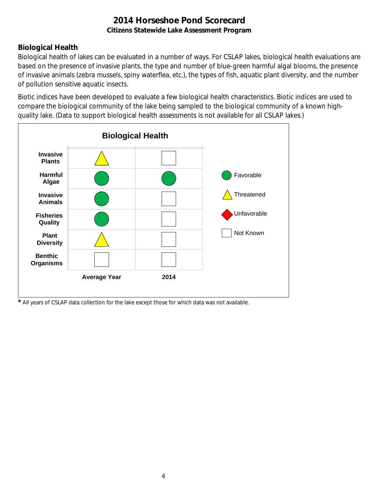### **Biological Health**

Biological health of lakes can be evaluated in a number of ways. For CSLAP lakes, biological health evaluations are based on the presence of invasive plants, the type and number of blue-green harmful algal blooms, the presence of invasive animals (zebra mussels, spiny waterflea, etc.), the types of fish, aquatic plant diversity, and the number of pollution sensitive aquatic insects.

Biotic indices have been developed to evaluate a few biological health characteristics. Biotic indices are used to compare the biological community of the lake being sampled to the biological community of a known highquality lake. (Data to support biological health assessments is not available for all CSLAP lakes.)



*\** All years of CSLAP data collection for the lake except those for which data was not available.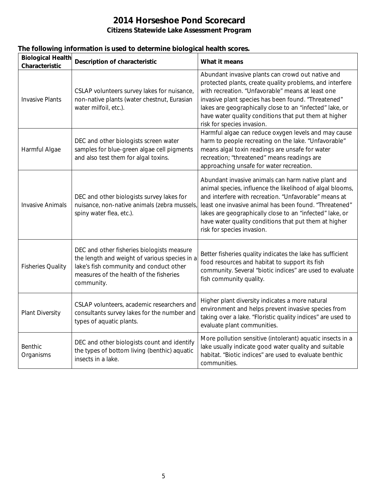|  |  |  | The following information is used to determine biological health scores. |
|--|--|--|--------------------------------------------------------------------------|
|  |  |  |                                                                          |

| <b>Biological Health</b><br>Characteristic | <b>Description of characteristic</b>                                                                                                                                                            | What it means                                                                                                                                                                                                                                                                                                                                                                          |
|--------------------------------------------|-------------------------------------------------------------------------------------------------------------------------------------------------------------------------------------------------|----------------------------------------------------------------------------------------------------------------------------------------------------------------------------------------------------------------------------------------------------------------------------------------------------------------------------------------------------------------------------------------|
| <b>Invasive Plants</b>                     | CSLAP volunteers survey lakes for nuisance,<br>non-native plants (water chestnut, Eurasian<br>water milfoil, etc.).                                                                             | Abundant invasive plants can crowd out native and<br>protected plants, create quality problems, and interfere<br>with recreation. "Unfavorable" means at least one<br>invasive plant species has been found. "Threatened"<br>lakes are geographically close to an "infected" lake, or<br>have water quality conditions that put them at higher<br>risk for species invasion.           |
| Harmful Algae                              | DEC and other biologists screen water<br>samples for blue-green algae cell pigments<br>and also test them for algal toxins.                                                                     | Harmful algae can reduce oxygen levels and may cause<br>harm to people recreating on the lake. "Unfavorable"<br>means algal toxin readings are unsafe for water<br>recreation; "threatened" means readings are<br>approaching unsafe for water recreation.                                                                                                                             |
| <b>Invasive Animals</b>                    | DEC and other biologists survey lakes for<br>nuisance, non-native animals (zebra mussels,<br>spiny water flea, etc.).                                                                           | Abundant invasive animals can harm native plant and<br>animal species, influence the likelihood of algal blooms,<br>and interfere with recreation. "Unfavorable" means at<br>least one invasive animal has been found. "Threatened"<br>lakes are geographically close to an "infected" lake, or<br>have water quality conditions that put them at higher<br>risk for species invasion. |
| <b>Fisheries Quality</b>                   | DEC and other fisheries biologists measure<br>the length and weight of various species in a<br>lake's fish community and conduct other<br>measures of the health of the fisheries<br>community. | Better fisheries quality indicates the lake has sufficient<br>food resources and habitat to support its fish<br>community. Several "biotic indices" are used to evaluate<br>fish community quality.                                                                                                                                                                                    |
| <b>Plant Diversity</b>                     | CSLAP volunteers, academic researchers and<br>consultants survey lakes for the number and<br>types of aquatic plants.                                                                           | Higher plant diversity indicates a more natural<br>environment and helps prevent invasive species from<br>taking over a lake. "Floristic quality indices" are used to<br>evaluate plant communities.                                                                                                                                                                                   |
| <b>Benthic</b><br>Organisms                | DEC and other biologists count and identify<br>the types of bottom living (benthic) aquatic<br>insects in a lake.                                                                               | More pollution sensitive (intolerant) aquatic insects in a<br>lake usually indicate good water quality and suitable<br>habitat. "Biotic indices" are used to evaluate benthic<br>communities.                                                                                                                                                                                          |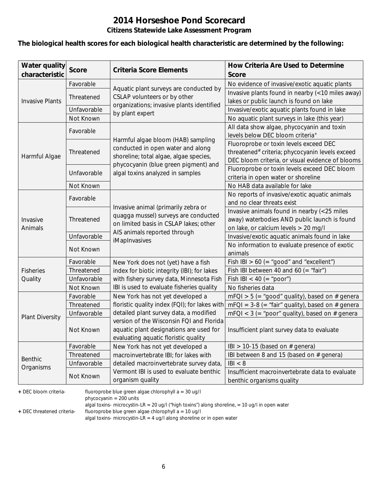# **2014 Horseshoe Pond Scorecard**

### **Citizens Statewide Lake Assessment Program**

#### **The biological health scores for each biological health characteristic are determined by the following:**

| <b>Water quality</b>   | <b>Score</b> | <b>Criteria Score Elements</b>                | How Criteria Are Used to Determine                          |
|------------------------|--------------|-----------------------------------------------|-------------------------------------------------------------|
| characteristic         |              |                                               | <b>Score</b>                                                |
|                        | Favorable    | Aquatic plant surveys are conducted by        | No evidence of invasive/exotic aquatic plants               |
|                        | Threatened   | CSLAP volunteers or by other                  | Invasive plants found in nearby (<10 miles away)            |
| <b>Invasive Plants</b> |              | organizations; invasive plants identified     | lakes or public launch is found on lake                     |
|                        | Unfavorable  | by plant expert                               | Invasive/exotic aquatic plants found in lake                |
|                        | Not Known    |                                               | No aquatic plant surveys in lake (this year)                |
|                        | Favorable    |                                               | All data show algae, phycocyanin and toxin                  |
|                        |              | Harmful algae bloom (HAB) sampling            | levels below DEC bloom criteria <sup>+</sup>                |
|                        |              | conducted in open water and along             | Fluoroprobe or toxin levels exceed DEC                      |
| Harmful Algae          | Threatened   | shoreline; total algae, algae species,        | threatened <sup>#</sup> criteria; phycocyanin levels exceed |
|                        |              | phycocyanin (blue green pigment) and          | DEC bloom criteria, or visual evidence of blooms            |
|                        | Unfavorable  | algal toxins analyzed in samples              | Fluoroprobe or toxin levels exceed DEC bloom                |
|                        |              |                                               | criteria in open water or shoreline                         |
|                        | Not Known    |                                               | No HAB data available for lake                              |
|                        | Favorable    |                                               | No reports of invasive/exotic aquatic animals               |
|                        |              | Invasive animal (primarily zebra or           | and no clear threats exist                                  |
|                        | Threatened   | quagga mussel) surveys are conducted          | Invasive animals found in nearby (<25 miles                 |
| Invasive               |              | on limited basis in CSLAP lakes; other        | away) waterbodies AND public launch is found                |
| Animals                |              | AIS animals reported through                  | on lake, or calcium levels > 20 mg/l                        |
|                        | Unfavorable  | iMapInvasives                                 | Invasive/exotic aquatic animals found in lake               |
|                        | Not Known    |                                               | No information to evaluate presence of exotic               |
|                        |              |                                               | animals                                                     |
|                        | Favorable    | New York does not (yet) have a fish           | Fish IBI > 60 (= "good" and "excellent")                    |
| <b>Fisheries</b>       | Threatened   | index for biotic integrity (IBI); for lakes   | Fish IBI between 40 and 60 (= "fair")                       |
| Quality                | Unfavorable  | with fishery survey data, Minnesota Fish      | Fish IBI < 40 (= "poor")                                    |
|                        | Not Known    | IBI is used to evaluate fisheries quality     | No fisheries data                                           |
|                        | Favorable    | New York has not yet developed a              | $mFQI > 5$ (= "good" quality), based on # genera            |
|                        | Threatened   | floristic quality index (FQI); for lakes with | $mFQI = 3-8 (= "fair" quality)$ , based on # genera         |
| <b>Plant Diversity</b> | Unfavorable  | detailed plant survey data, a modified        | $mFQI < 3$ (= "poor" quality), based on # genera            |
|                        |              | version of the Wisconsin FQI and Florida      |                                                             |
|                        | Not Known    | aquatic plant designations are used for       | Insufficient plant survey data to evaluate                  |
|                        |              | evaluating aquatic floristic quality          |                                                             |
|                        | Favorable    | New York has not yet developed a              | IBI > 10-15 (based on $#$ genera)                           |
| <b>Benthic</b>         | Threatened   | macroinvertebrate IBI; for lakes with         | IBI between 8 and 15 (based on # genera)                    |
| Organisms              | Unfavorable  | detailed macroinvertebrate survey data,       | B  < 8                                                      |
|                        | Not Known    | Vermont IBI is used to evaluate benthic       | Insufficient macroinvertebrate data to evaluate             |
|                        |              | organism quality                              | benthic organisms quality                                   |

**+** DEC bloom criteria- fluoroprobe blue green algae chlorophyll a = 30 ug/l

phycocyanin = 200 units

algal toxins- microcystin-LR = 20 ug/l ("high toxins") along shoreline, = 10 ug/l in open water

**+** DEC threatened criteria- fluoroprobe blue green algae chlorophyll a = 10 ug/l

algal toxins- microcystin-LR = 4 ug/l along shoreline or in open water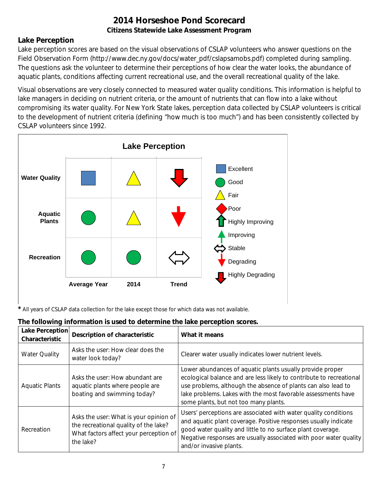### **Lake Perception**

Lake perception scores are based on the visual observations of CSLAP volunteers who answer questions on the Field Observation Form (http://www.dec.ny.gov/docs/water\_pdf/cslapsamobs.pdf) completed during sampling. The questions ask the volunteer to determine their perceptions of how clear the water looks, the abundance of aquatic plants, conditions affecting current recreational use, and the overall recreational quality of the lake.

Visual observations are very closely connected to measured water quality conditions. This information is helpful to lake managers in deciding on nutrient criteria, or the amount of nutrients that can flow into a lake without compromising its water quality. For New York State lakes, perception data collected by CSLAP volunteers is critical to the development of nutrient criteria (defining "how much is too much") and has been consistently collected by CSLAP volunteers since 1992.



*\** All years of CSLAP data collection for the lake except those for which data was not available.

| The following information is used to determine the lake perception scores. |  |  |
|----------------------------------------------------------------------------|--|--|

| Lake Perception<br>Characteristic | <b>Description of characteristic</b>                                                                                                   | What it means                                                                                                                                                                                                                                                                                                |
|-----------------------------------|----------------------------------------------------------------------------------------------------------------------------------------|--------------------------------------------------------------------------------------------------------------------------------------------------------------------------------------------------------------------------------------------------------------------------------------------------------------|
| <b>Water Quality</b>              | Asks the user: How clear does the<br>water look today?                                                                                 | Clearer water usually indicates lower nutrient levels.                                                                                                                                                                                                                                                       |
| <b>Aquatic Plants</b>             | Asks the user: How abundant are<br>aquatic plants where people are<br>boating and swimming today?                                      | Lower abundances of aquatic plants usually provide proper<br>ecological balance and are less likely to contribute to recreational<br>use problems, although the absence of plants can also lead to<br>lake problems. Lakes with the most favorable assessments have<br>some plants, but not too many plants. |
| Recreation                        | Asks the user: What is your opinion of<br>the recreational quality of the lake?<br>What factors affect your perception of<br>the lake? | Users' perceptions are associated with water quality conditions<br>and aquatic plant coverage. Positive responses usually indicate<br>good water quality and little to no surface plant coverage.<br>Negative responses are usually associated with poor water quality<br>and/or invasive plants.            |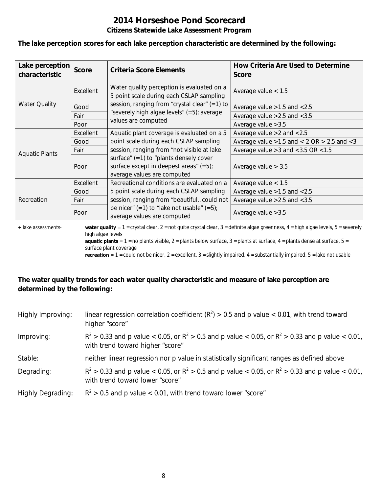# **2014 Horseshoe Pond Scorecard**

#### **Citizens Statewide Lake Assessment Program**

**The lake perception scores for each lake perception characteristic are determined by the following:**

| Lake perception<br>characteristic | <b>Score</b> | <b>Criteria Score Elements</b>                                                                                       | How Criteria Are Used to Determine<br><b>Score</b>  |
|-----------------------------------|--------------|----------------------------------------------------------------------------------------------------------------------|-----------------------------------------------------|
|                                   | Excellent    | Water quality perception is evaluated on a<br>5 point scale during each CSLAP sampling                               | Average value $< 1.5$                               |
| <b>Water Quality</b>              | Good         | session, ranging from "crystal clear" (=1) to                                                                        | Average value $>1.5$ and $< 2.5$                    |
|                                   | Fair         | "severely high algae levels" (=5); average                                                                           | Average value $>2.5$ and $< 3.5$                    |
|                                   | Poor         | values are computed                                                                                                  | Average value $>3.5$                                |
|                                   | Excellent    | Aquatic plant coverage is evaluated on a 5                                                                           | Average value $>2$ and $< 2.5$                      |
|                                   | Good         | point scale during each CSLAP sampling                                                                               | Average value $>1.5$ and $< 2$ OR $> 2.5$ and $< 3$ |
| <b>Aquatic Plants</b>             | Fair         | session, ranging from "not visible at lake                                                                           | Average value $>3$ and $<$ 3.5 OR $<$ 1.5           |
|                                   | Poor         | surface" $(=1)$ to "plants densely cover<br>surface except in deepest areas" $(=5)$ ;<br>average values are computed | Average value $> 3.5$                               |
|                                   | Excellent    | Recreational conditions are evaluated on a                                                                           | Average value $< 1.5$                               |
| Recreation                        | Good         | 5 point scale during each CSLAP sampling                                                                             | Average value $>1.5$ and $< 2.5$                    |
|                                   | Fair         | session, ranging from "beautifulcould not                                                                            | Average value $>2.5$ and $< 3.5$                    |
|                                   | Poor         | be nicer" $(=1)$ to "lake not usable" $(=5)$ ;<br>average values are computed                                        | Average value $>3.5$                                |

**+** lake assessments- **water quality** = 1 = crystal clear, 2 = not quite crystal clear, 3 = definite algae greenness, 4 = high algae levels, 5 = severely high algae levels

**aquatic plants** =  $1$  = no plants visible,  $2$  = plants below surface,  $3$  = plants at surface,  $4$  = plants dense at surface,  $5$  = surface plant coverage

**recreation** = 1 = could not be nicer, 2 = excellent, 3 = slightly impaired, 4 = substantially impaired, 5 = lake not usable

### **The water quality trends for each water quality characteristic and measure of lake perception are determined by the following:**

| Highly Improving:        | linear regression correlation coefficient ( $R^2$ ) > 0.5 and p value < 0.01, with trend toward<br>higher "score"                           |
|--------------------------|---------------------------------------------------------------------------------------------------------------------------------------------|
| Improving:               | $R^2 > 0.33$ and p value < 0.05, or $R^2 > 0.5$ and p value < 0.05, or $R^2 > 0.33$ and p value < 0.01,<br>with trend toward higher "score" |
| Stable:                  | neither linear regression nor p value in statistically significant ranges as defined above                                                  |
| Degrading:               | $R^2 > 0.33$ and p value < 0.05, or $R^2 > 0.5$ and p value < 0.05, or $R^2 > 0.33$ and p value < 0.01,<br>with trend toward lower "score"  |
| <b>Highly Degrading:</b> | $R^2 > 0.5$ and p value < 0.01, with trend toward lower "score"                                                                             |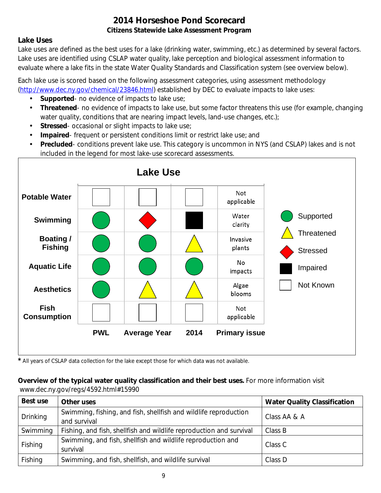### **Lake Uses**

Lake uses are defined as the best uses for a lake (drinking water, swimming, etc.) as determined by several factors. Lake uses are identified using CSLAP water quality, lake perception and biological assessment information to evaluate where a lake fits in the state Water Quality Standards and Classification system (see overview below).

Each lake use is scored based on the following assessment categories, using assessment methodology [\(http://www.dec.ny.gov/chemical/23846.html\)](http://www.dec.ny.gov/chemical/23846.html) established by DEC to evaluate impacts to lake uses:

- **Supported** no evidence of impacts to lake use;
- $\mathcal{L}^{\mathcal{L}}$ **Threatened**- no evidence of impacts to lake use, but some factor threatens this use (for example, changing water quality, conditions that are nearing impact levels, land-use changes, etc.);
- **Stressed** occasional or slight impacts to lake use;  $\mathbf{r}$
- **Impaired** frequent or persistent conditions limit or restrict lake use; and  $\mathbf{r}$
- **Precluded** conditions prevent lake use. This category is uncommon in NYS (and CSLAP) lakes and is not included in the legend for most lake-use scorecard assessments.



*\** All years of CSLAP data collection for the lake except those for which data was not available.

#### **Overview of the typical water quality classification and their best uses.** For more information visit www.dec.ny.gov/regs/4592.html#15990

| Best use | Other uses                                                                       | <b>Water Quality Classification</b> |
|----------|----------------------------------------------------------------------------------|-------------------------------------|
| Drinking | Swimming, fishing, and fish, shellfish and wildlife reproduction<br>and survival | Class AA & A                        |
| Swimming | Fishing, and fish, shellfish and wildlife reproduction and survival              | Class B                             |
| Fishing  | Swimming, and fish, shellfish and wildlife reproduction and<br>survival          | Class C                             |
| Fishing  | Swimming, and fish, shellfish, and wildlife survival                             | Class D                             |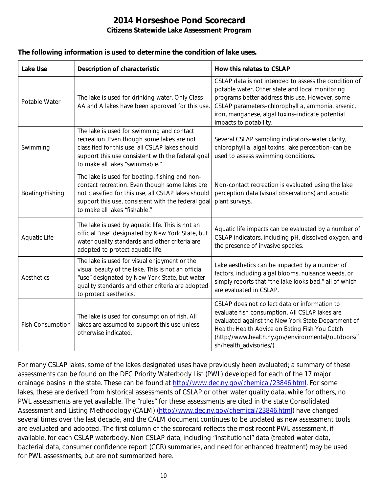#### **The following information is used to determine the condition of lake uses.**

| <b>Lake Use</b>  | <b>Description of characteristic</b>                                                                                                                                                                                                           | How this relates to CSLAP                                                                                                                                                                                                                                                                      |
|------------------|------------------------------------------------------------------------------------------------------------------------------------------------------------------------------------------------------------------------------------------------|------------------------------------------------------------------------------------------------------------------------------------------------------------------------------------------------------------------------------------------------------------------------------------------------|
| Potable Water    | The lake is used for drinking water. Only Class<br>AA and A lakes have been approved for this use.                                                                                                                                             | CSLAP data is not intended to assess the condition of<br>potable water. Other state and local monitoring<br>programs better address this use. However, some<br>CSLAP parameters-chlorophyll a, ammonia, arsenic,<br>iron, manganese, algal toxins-indicate potential<br>impacts to potability. |
| Swimming         | The lake is used for swimming and contact<br>recreation. Even though some lakes are not<br>classified for this use, all CSLAP lakes should<br>support this use consistent with the federal goal<br>to make all lakes "swimmable."              | Several CSLAP sampling indicators-water clarity,<br>chlorophyll a, algal toxins, lake perception-can be<br>used to assess swimming conditions.                                                                                                                                                 |
| Boating/Fishing  | The lake is used for boating, fishing and non-<br>contact recreation. Even though some lakes are<br>not classified for this use, all CSLAP lakes should<br>support this use, consistent with the federal goal<br>to make all lakes "fishable." | Non-contact recreation is evaluated using the lake<br>perception data (visual observations) and aquatic<br>plant surveys.                                                                                                                                                                      |
| Aquatic Life     | The lake is used by aquatic life. This is not an<br>official "use" designated by New York State, but<br>water quality standards and other criteria are<br>adopted to protect aquatic life.                                                     | Aquatic life impacts can be evaluated by a number of<br>CSLAP indicators, including pH, dissolved oxygen, and<br>the presence of invasive species.                                                                                                                                             |
| Aesthetics       | The lake is used for visual enjoyment or the<br>visual beauty of the lake. This is not an official<br>"use" designated by New York State, but water<br>quality standards and other criteria are adopted<br>to protect aesthetics.              | Lake aesthetics can be impacted by a number of<br>factors, including algal blooms, nuisance weeds, or<br>simply reports that "the lake looks bad," all of which<br>are evaluated in CSLAP.                                                                                                     |
| Fish Consumption | The lake is used for consumption of fish. All<br>lakes are assumed to support this use unless<br>otherwise indicated.                                                                                                                          | CSLAP does not collect data or information to<br>evaluate fish consumption. All CSLAP lakes are<br>evaluated against the New York State Department of<br>Health: Health Advice on Eating Fish You Catch<br>(http://www.health.ny.gov/environmental/outdoors/fi<br>sh/health_advisories/).      |

For many CSLAP lakes, some of the lakes designated uses have previously been evaluated; a summary of these assessments can be found on the DEC Priority Waterbody List (PWL) developed for each of the 17 major drainage basins in the state. These can be found at http://www.dec.ny.gov/chemical/23846.html</u>. For some lakes, these are derived from historical assessments of CSLAP or other water quality data, while for others, no PWL assessments are yet available. The "rules" for these assessments are cited in the state Consolidated Assessment and Listing Methodology (CALM) [\(http://www.dec.ny.gov/chemical/23846.html\)](http://www.dec.ny.gov/chemical/23846.html) have changed several times over the last decade, and the CALM document continues to be updated as new assessment tools are evaluated and adopted. The first column of the scorecard reflects the most recent PWL assessment, if available, for each CSLAP waterbody. Non CSLAP data, including "institutional" data (treated water data, bacterial data, consumer confidence report (CCR) summaries, and need for enhanced treatment) may be used for PWL assessments, but are not summarized here.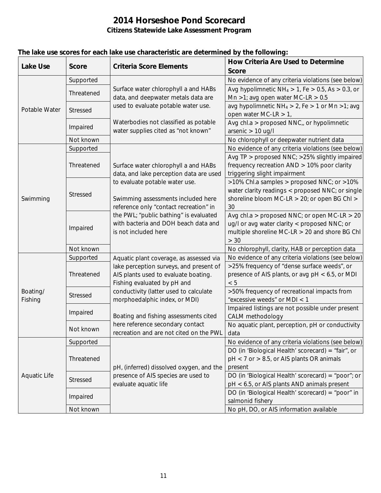| <b>Lake Use</b>     | <b>Score</b> | <b>Criteria Score Elements</b>                                                                                                                                                                                                                                                                              | How Criteria Are Used to Determine<br><b>Score</b>                                                                                                       |
|---------------------|--------------|-------------------------------------------------------------------------------------------------------------------------------------------------------------------------------------------------------------------------------------------------------------------------------------------------------------|----------------------------------------------------------------------------------------------------------------------------------------------------------|
| Potable Water       | Supported    |                                                                                                                                                                                                                                                                                                             | No evidence of any criteria violations (see below)                                                                                                       |
|                     | Threatened   | Surface water chlorophyll a and HABs<br>data, and deepwater metals data are<br>used to evaluate potable water use.<br>Waterbodies not classified as potable<br>water supplies cited as "not known"                                                                                                          | Avg hypolimnetic $NH_4 > 1$ , Fe $> 0.5$ , As $> 0.3$ , or<br>Mn >1; avg open water MC-LR > $0.5$                                                        |
|                     | Stressed     |                                                                                                                                                                                                                                                                                                             | avg hypolimnetic $NH_4 > 2$ , Fe > 1 or Mn > 1; avg<br>open water MC-LR $> 1$ ,                                                                          |
|                     | Impaired     |                                                                                                                                                                                                                                                                                                             | Avg chl.a > proposed NNC <sub>u</sub> or hypolimnetic<br>arsenic $> 10$ ug/l                                                                             |
|                     | Not known    |                                                                                                                                                                                                                                                                                                             | No chlorophyll or deepwater nutrient data                                                                                                                |
|                     | Supported    |                                                                                                                                                                                                                                                                                                             | No evidence of any criteria violations (see below)                                                                                                       |
| Swimming            | Threatened   | Surface water chlorophyll a and HABs<br>data, and lake perception data are used<br>to evaluate potable water use.<br>Swimming assessments included here<br>reference only "contact recreation" in<br>the PWL; "public bathing" is evaluated<br>with bacteria and DOH beach data and<br>is not included here | Avg TP > proposed NNC; >25% slightly impaired<br>frequency recreation AND > 10% poor clarity<br>triggering slight impairment                             |
|                     | Stressed     |                                                                                                                                                                                                                                                                                                             | >10% Chl.a samples > proposed NNC; or >10%<br>water clarity readings < proposed NNC; or single<br>shoreline bloom MC-LR > 20; or open BG Chl ><br>30     |
|                     | Impaired     |                                                                                                                                                                                                                                                                                                             | Avg chl.a > proposed NNC; or open MC-LR > 20<br>ug/l or avg water clarity < proposed NNC; or<br>multiple shoreline MC-LR > 20 and shore BG Chl<br>$> 30$ |
|                     | Not known    |                                                                                                                                                                                                                                                                                                             | No chlorophyll, clarity, HAB or perception data                                                                                                          |
|                     | Supported    | Aquatic plant coverage, as assessed via                                                                                                                                                                                                                                                                     | No evidence of any criteria violations (see below)                                                                                                       |
| Boating/<br>Fishing | Threatened   | lake perception surveys, and present of<br>AIS plants used to evaluate boating.<br>Fishing evaluated by pH and                                                                                                                                                                                              | >25% frequency of "dense surface weeds", or<br>presence of AIS plants, or avg pH < 6.5, or MDI<br>< 5                                                    |
|                     | Stressed     | conductivity (latter used to calculate<br>morphoedalphic index, or MDI)                                                                                                                                                                                                                                     | >50% frequency of recreational impacts from<br>"excessive weeds" or MDI < 1                                                                              |
|                     | Impaired     | Boating and fishing assessments cited                                                                                                                                                                                                                                                                       | Impaired listings are not possible under present<br>CALM methodology                                                                                     |
|                     | Not known    | here reference secondary contact<br>recreation and are not cited on the PWL                                                                                                                                                                                                                                 | No aquatic plant, perception, pH or conductivity<br>data                                                                                                 |
|                     | Supported    |                                                                                                                                                                                                                                                                                                             | No evidence of any criteria violations (see below)                                                                                                       |
| Aquatic Life        | Threatened   | pH, (inferred) dissolved oxygen, and the<br>presence of AIS species are used to<br>evaluate aquatic life                                                                                                                                                                                                    | DO (in 'Biological Health' scorecard) = "fair", or<br>pH < 7 or > 8.5, or AIS plants OR animals<br>present                                               |
|                     | Stressed     |                                                                                                                                                                                                                                                                                                             | DO (in 'Biological Health' scorecard) = "poor"; or<br>pH < 6.5, or AIS plants AND animals present                                                        |
|                     | Impaired     |                                                                                                                                                                                                                                                                                                             | DO (in 'Biological Health' scorecard) = "poor" in<br>salmonid fishery                                                                                    |
|                     | Not known    |                                                                                                                                                                                                                                                                                                             | No pH, DO, or AIS information available                                                                                                                  |

### **The lake use scores for each lake use characteristic are determined by the following:**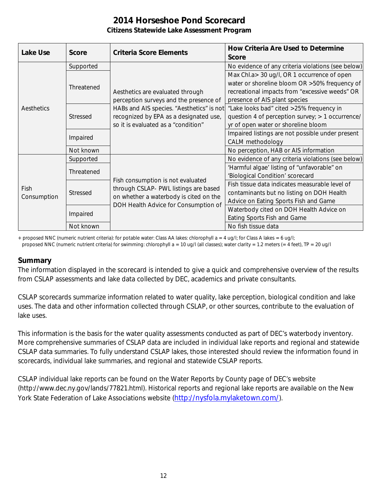| <b>Lake Use</b> | Score           | <b>Criteria Score Elements</b>                                                                                                                                                                           | <b>How Criteria Are Used to Determine</b><br><b>Score</b> |
|-----------------|-----------------|----------------------------------------------------------------------------------------------------------------------------------------------------------------------------------------------------------|-----------------------------------------------------------|
| Aesthetics      | Supported       | Aesthetics are evaluated through<br>perception surveys and the presence of<br>HABs and AIS species. "Aesthetics" is not<br>recognized by EPA as a designated use,<br>so it is evaluated as a "condition" | No evidence of any criteria violations (see below)        |
|                 | Threatened      |                                                                                                                                                                                                          | Max Chl.a> 30 ug/l, OR 1 occurrence of open               |
|                 |                 |                                                                                                                                                                                                          | water or shoreline bloom OR > 50% frequency of            |
|                 |                 |                                                                                                                                                                                                          | recreational impacts from "excessive weeds" OR            |
|                 |                 |                                                                                                                                                                                                          | presence of AIS plant species                             |
|                 | <b>Stressed</b> |                                                                                                                                                                                                          | "Lake looks bad" cited >25% frequency in                  |
|                 |                 |                                                                                                                                                                                                          | question 4 of perception survey; > 1 occurrence/          |
|                 |                 |                                                                                                                                                                                                          | yr of open water or shoreline bloom                       |
|                 | Impaired        |                                                                                                                                                                                                          | Impaired listings are not possible under present          |
|                 |                 |                                                                                                                                                                                                          | CALM methodology                                          |
|                 | Not known       |                                                                                                                                                                                                          | No perception, HAB or AIS information                     |
|                 | Supported       | Fish consumption is not evaluated<br>through CSLAP- PWL listings are based<br>on whether a waterbody is cited on the<br>DOH Health Advice for Consumption of                                             | No evidence of any criteria violations (see below)        |
|                 | Threatened      |                                                                                                                                                                                                          | 'Harmful algae' listing of "unfavorable" on               |
|                 |                 |                                                                                                                                                                                                          | 'Biological Condition' scorecard                          |
| Fish            | <b>Stressed</b> |                                                                                                                                                                                                          | Fish tissue data indicates measurable level of            |
|                 |                 |                                                                                                                                                                                                          | contaminants but no listing on DOH Health                 |
| Consumption     |                 |                                                                                                                                                                                                          | Advice on Eating Sports Fish and Game                     |
|                 | Impaired        |                                                                                                                                                                                                          | Waterbody cited on DOH Health Advice on                   |
|                 |                 |                                                                                                                                                                                                          | Eating Sports Fish and Game                               |
|                 | Not known       |                                                                                                                                                                                                          | No fish tissue data                                       |

+ proposed NNC (numeric nutrient criteria): for potable water: Class AA lakes: chlorophyll  $a = 4$  ug/l; for Class A lakes = 6 ug/l;

proposed NNC (numeric nutrient criteria) for swimming: chlorophyll a = 10 ug/l (all classes); water clarity = 1.2 meters (= 4 feet), TP = 20 ug/l

### **Summary**

The information displayed in the scorecard is intended to give a quick and comprehensive overview of the results from CSLAP assessments and lake data collected by DEC, academics and private consultants.

CSLAP scorecards summarize information related to water quality, lake perception, biological condition and lake uses. The data and other information collected through CSLAP, or other sources, contribute to the evaluation of lake uses.

This information is the basis for the water quality assessments conducted as part of DEC's waterbody inventory. More comprehensive summaries of CSLAP data are included in individual lake reports and regional and statewide CSLAP data summaries. To fully understand CSLAP lakes, those interested should review the information found in scorecards, individual lake summaries, and regional and statewide CSLAP reports.

CSLAP individual lake reports can be found on the Water Reports by County page of DEC's website (http://www.dec.ny.gov/lands/77821.html). Historical reports and regional lake reports are available on the New York State Federation of Lake Associations website [\(http://nysfola.mylaketown.com/\)](http://nysfola.mylaketown.com/).